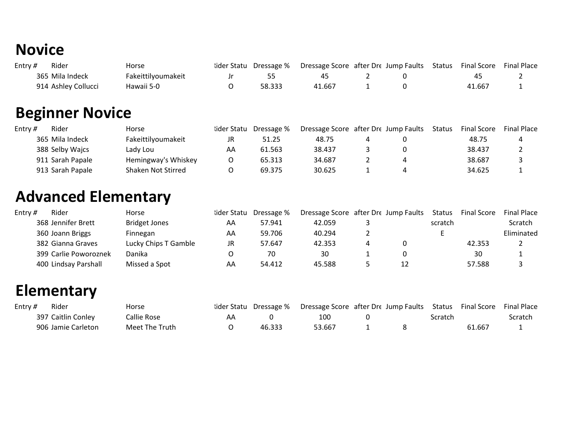## **Novice**

| Entry $#$ | Rider               | Horse               |        | lider Statu Dressage % Dressage Score after Dre Jump Faults Status |  | Final Score | <b>Final Place</b> |
|-----------|---------------------|---------------------|--------|--------------------------------------------------------------------|--|-------------|--------------------|
|           | 365 Mila Indeck     | Fakeittil voumakeit |        |                                                                    |  | 45          |                    |
|           | 914 Ashley Collucci | Hawaii 5-0          | 58.333 | 41.667                                                             |  | 41.667      |                    |

## **Beginner Novice**

| Entry $#$ | Rider            | Horse               | lider Statu | Dressage % | Dressage Score after Dre Jump Faults |  | <b>Status</b> | <b>Final Score</b> | <b>Final Place</b> |
|-----------|------------------|---------------------|-------------|------------|--------------------------------------|--|---------------|--------------------|--------------------|
|           | 365 Mila Indeck  | Fakeittilyoumakeit  | JR          | 51.25      | 48.75                                |  |               | 48.75              | 4                  |
|           | 388 Selby Wajcs  | Lady Lou            | AA          | 61.563     | 38.437                               |  |               | 38.437             |                    |
|           | 911 Sarah Papale | Hemingway's Whiskey |             | 65.313     | 34.687                               |  |               | 38.687             |                    |
|           | 913 Sarah Papale | Shaken Not Stirred  |             | 69.375     | 30.625                               |  |               | 34.625             |                    |

#### **Advanced Elementary**

| Entry $#$ | Rider                 | Horse                | lider Statu | Dressage % | Dressage Score after Dre Jump Faults |    | Status  | <b>Final Score</b> | <b>Final Place</b> |
|-----------|-----------------------|----------------------|-------------|------------|--------------------------------------|----|---------|--------------------|--------------------|
|           | 368 Jennifer Brett    | <b>Bridget Jones</b> | AA          | 57.941     | 42.059                               |    | scratch |                    | <b>Scratch</b>     |
|           | 360 Joann Briggs      | Finnegan             | AA          | 59.706     | 40.294                               |    |         |                    | Eliminated         |
|           | 382 Gianna Graves     | Lucky Chips T Gamble | JR          | 57.647     | 42.353                               |    |         | 42.353             |                    |
|           | 399 Carlie Poworoznek | Danika               |             | 70         | 30                                   |    |         | 30                 |                    |
|           | 400 Lindsay Parshall  | Missed a Spot        | AA          | 54.412     | 45.588                               | 12 |         | 57.588             |                    |

#### **Elementary**

| Entry $#$ | Rider              | Horse          | lider Statu Dressage % | Dressage Score after Dre Jump Faults Status Final Score |         |        | <b>Final Place</b> |
|-----------|--------------------|----------------|------------------------|---------------------------------------------------------|---------|--------|--------------------|
|           | 397 Caitlin Conley | Callie Rose    |                        | 100                                                     | Scratch |        | Scratch            |
|           | 906 Jamie Carleton | Meet The Truth | 46.333                 | 53.667                                                  |         | 61.667 |                    |